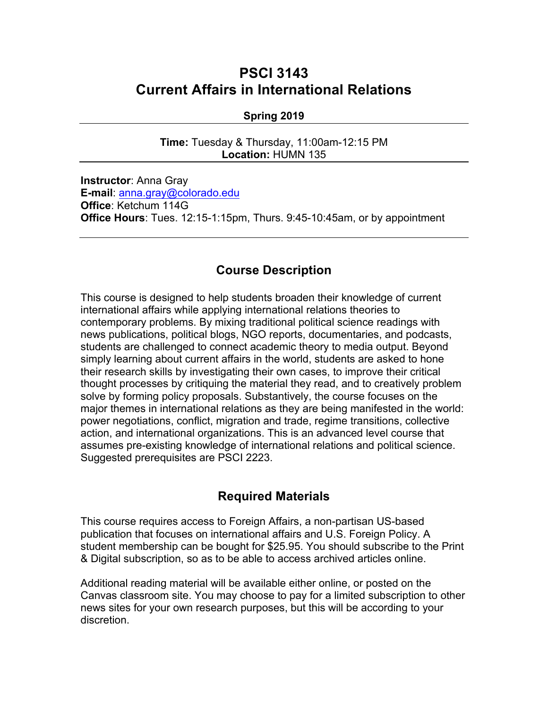# **PSCI 3143 Current Affairs in International Relations**

#### **Spring 2019**

**Time:** Tuesday & Thursday, 11:00am-12:15 PM **Location:** HUMN 135

**Instructor**: Anna Gray **E-mail**: anna.gray@colorado.edu **Office**: Ketchum 114G **Office Hours**: Tues. 12:15-1:15pm, Thurs. 9:45-10:45am, or by appointment

## **Course Description**

This course is designed to help students broaden their knowledge of current international affairs while applying international relations theories to contemporary problems. By mixing traditional political science readings with news publications, political blogs, NGO reports, documentaries, and podcasts, students are challenged to connect academic theory to media output. Beyond simply learning about current affairs in the world, students are asked to hone their research skills by investigating their own cases, to improve their critical thought processes by critiquing the material they read, and to creatively problem solve by forming policy proposals. Substantively, the course focuses on the major themes in international relations as they are being manifested in the world: power negotiations, conflict, migration and trade, regime transitions, collective action, and international organizations. This is an advanced level course that assumes pre-existing knowledge of international relations and political science. Suggested prerequisites are PSCI 2223.

## **Required Materials**

This course requires access to Foreign Affairs, a non-partisan US-based publication that focuses on international affairs and U.S. Foreign Policy. A student membership can be bought for \$25.95. You should subscribe to the Print & Digital subscription, so as to be able to access archived articles online.

Additional reading material will be available either online, or posted on the Canvas classroom site. You may choose to pay for a limited subscription to other news sites for your own research purposes, but this will be according to your discretion.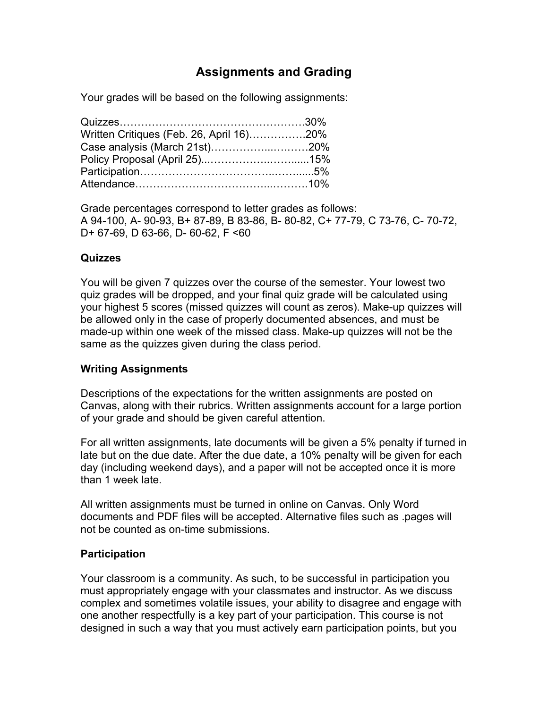## **Assignments and Grading**

Your grades will be based on the following assignments:

| Written Critiques (Feb. 26, April 16)20% |  |
|------------------------------------------|--|
| Case analysis (March 21st)20%            |  |
|                                          |  |
|                                          |  |
|                                          |  |

Grade percentages correspond to letter grades as follows: A 94-100, A- 90-93, B+ 87-89, B 83-86, B- 80-82, C+ 77-79, C 73-76, C- 70-72, D+ 67-69, D 63-66, D- 60-62, F <60

#### **Quizzes**

You will be given 7 quizzes over the course of the semester. Your lowest two quiz grades will be dropped, and your final quiz grade will be calculated using your highest 5 scores (missed quizzes will count as zeros). Make-up quizzes will be allowed only in the case of properly documented absences, and must be made-up within one week of the missed class. Make-up quizzes will not be the same as the quizzes given during the class period.

#### **Writing Assignments**

Descriptions of the expectations for the written assignments are posted on Canvas, along with their rubrics. Written assignments account for a large portion of your grade and should be given careful attention.

For all written assignments, late documents will be given a 5% penalty if turned in late but on the due date. After the due date, a 10% penalty will be given for each day (including weekend days), and a paper will not be accepted once it is more than 1 week late.

All written assignments must be turned in online on Canvas. Only Word documents and PDF files will be accepted. Alternative files such as .pages will not be counted as on-time submissions.

## **Participation**

Your classroom is a community. As such, to be successful in participation you must appropriately engage with your classmates and instructor. As we discuss complex and sometimes volatile issues, your ability to disagree and engage with one another respectfully is a key part of your participation. This course is not designed in such a way that you must actively earn participation points, but you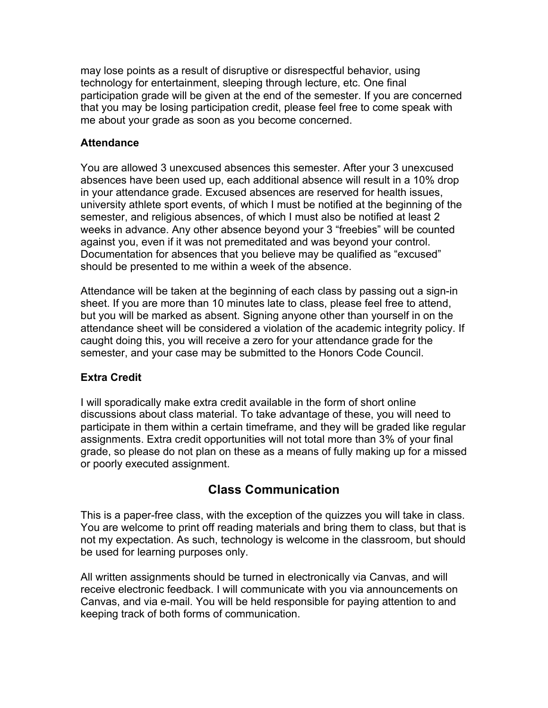may lose points as a result of disruptive or disrespectful behavior, using technology for entertainment, sleeping through lecture, etc. One final participation grade will be given at the end of the semester. If you are concerned that you may be losing participation credit, please feel free to come speak with me about your grade as soon as you become concerned.

#### **Attendance**

You are allowed 3 unexcused absences this semester. After your 3 unexcused absences have been used up, each additional absence will result in a 10% drop in your attendance grade. Excused absences are reserved for health issues, university athlete sport events, of which I must be notified at the beginning of the semester, and religious absences, of which I must also be notified at least 2 weeks in advance. Any other absence beyond your 3 "freebies" will be counted against you, even if it was not premeditated and was beyond your control. Documentation for absences that you believe may be qualified as "excused" should be presented to me within a week of the absence.

Attendance will be taken at the beginning of each class by passing out a sign-in sheet. If you are more than 10 minutes late to class, please feel free to attend, but you will be marked as absent. Signing anyone other than yourself in on the attendance sheet will be considered a violation of the academic integrity policy. If caught doing this, you will receive a zero for your attendance grade for the semester, and your case may be submitted to the Honors Code Council.

## **Extra Credit**

I will sporadically make extra credit available in the form of short online discussions about class material. To take advantage of these, you will need to participate in them within a certain timeframe, and they will be graded like regular assignments. Extra credit opportunities will not total more than 3% of your final grade, so please do not plan on these as a means of fully making up for a missed or poorly executed assignment.

## **Class Communication**

This is a paper-free class, with the exception of the quizzes you will take in class. You are welcome to print off reading materials and bring them to class, but that is not my expectation. As such, technology is welcome in the classroom, but should be used for learning purposes only.

All written assignments should be turned in electronically via Canvas, and will receive electronic feedback. I will communicate with you via announcements on Canvas, and via e-mail. You will be held responsible for paying attention to and keeping track of both forms of communication.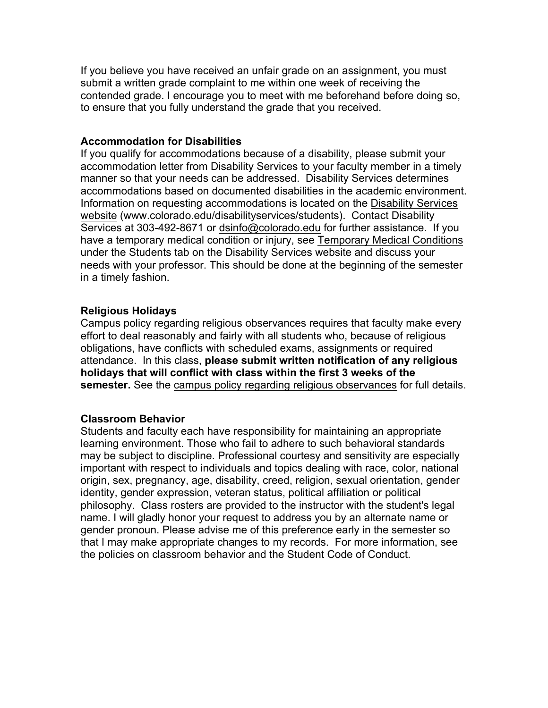If you believe you have received an unfair grade on an assignment, you must submit a written grade complaint to me within one week of receiving the contended grade. I encourage you to meet with me beforehand before doing so, to ensure that you fully understand the grade that you received.

#### **Accommodation for Disabilities**

If you qualify for accommodations because of a disability, please submit your accommodation letter from Disability Services to your faculty member in a timely manner so that your needs can be addressed. Disability Services determines accommodations based on documented disabilities in the academic environment. Information on requesting accommodations is located on the Disability Services website (www.colorado.edu/disabilityservices/students). Contact Disability Services at 303-492-8671 or dsinfo@colorado.edu for further assistance. If you have a temporary medical condition or injury, see Temporary Medical Conditions under the Students tab on the Disability Services website and discuss your needs with your professor. This should be done at the beginning of the semester in a timely fashion.

#### **Religious Holidays**

Campus policy regarding religious observances requires that faculty make every effort to deal reasonably and fairly with all students who, because of religious obligations, have conflicts with scheduled exams, assignments or required attendance. In this class, **please submit written notification of any religious holidays that will conflict with class within the first 3 weeks of the semester.** See the campus policy regarding religious observances for full details.

#### **Classroom Behavior**

Students and faculty each have responsibility for maintaining an appropriate learning environment. Those who fail to adhere to such behavioral standards may be subject to discipline. Professional courtesy and sensitivity are especially important with respect to individuals and topics dealing with race, color, national origin, sex, pregnancy, age, disability, creed, religion, sexual orientation, gender identity, gender expression, veteran status, political affiliation or political philosophy. Class rosters are provided to the instructor with the student's legal name. I will gladly honor your request to address you by an alternate name or gender pronoun. Please advise me of this preference early in the semester so that I may make appropriate changes to my records. For more information, see the policies on classroom behavior and the Student Code of Conduct.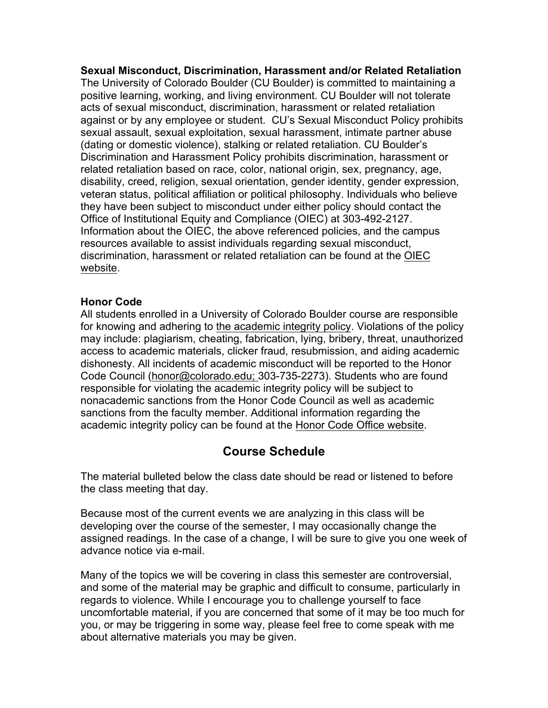**Sexual Misconduct, Discrimination, Harassment and/or Related Retaliation** The University of Colorado Boulder (CU Boulder) is committed to maintaining a positive learning, working, and living environment. CU Boulder will not tolerate acts of sexual misconduct, discrimination, harassment or related retaliation against or by any employee or student. CU's Sexual Misconduct Policy prohibits sexual assault, sexual exploitation, sexual harassment, intimate partner abuse (dating or domestic violence), stalking or related retaliation. CU Boulder's Discrimination and Harassment Policy prohibits discrimination, harassment or related retaliation based on race, color, national origin, sex, pregnancy, age, disability, creed, religion, sexual orientation, gender identity, gender expression, veteran status, political affiliation or political philosophy. Individuals who believe they have been subject to misconduct under either policy should contact the Office of Institutional Equity and Compliance (OIEC) at 303-492-2127. Information about the OIEC, the above referenced policies, and the campus resources available to assist individuals regarding sexual misconduct, discrimination, harassment or related retaliation can be found at the OIEC website.

#### **Honor Code**

All students enrolled in a University of Colorado Boulder course are responsible for knowing and adhering to the academic integrity policy. Violations of the policy may include: plagiarism, cheating, fabrication, lying, bribery, threat, unauthorized access to academic materials, clicker fraud, resubmission, and aiding academic dishonesty. All incidents of academic misconduct will be reported to the Honor Code Council (honor@colorado.edu; 303-735-2273). Students who are found responsible for violating the academic integrity policy will be subject to nonacademic sanctions from the Honor Code Council as well as academic sanctions from the faculty member. Additional information regarding the academic integrity policy can be found at the Honor Code Office website.

## **Course Schedule**

The material bulleted below the class date should be read or listened to before the class meeting that day.

Because most of the current events we are analyzing in this class will be developing over the course of the semester, I may occasionally change the assigned readings. In the case of a change, I will be sure to give you one week of advance notice via e-mail.

Many of the topics we will be covering in class this semester are controversial, and some of the material may be graphic and difficult to consume, particularly in regards to violence. While I encourage you to challenge yourself to face uncomfortable material, if you are concerned that some of it may be too much for you, or may be triggering in some way, please feel free to come speak with me about alternative materials you may be given.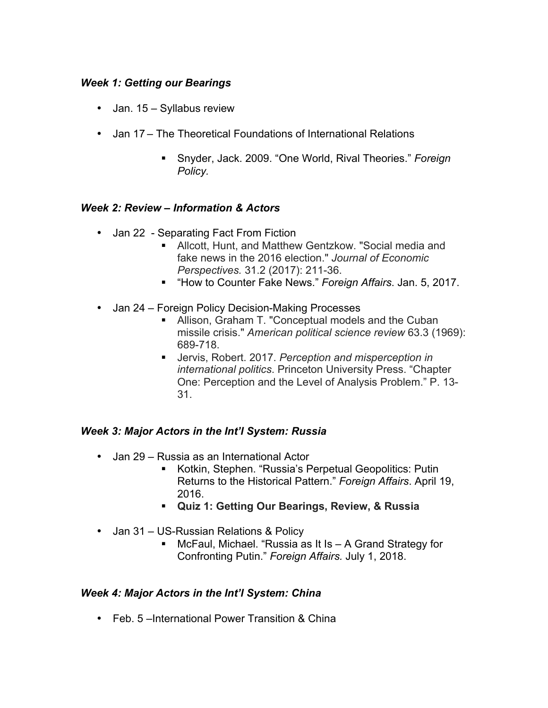## *Week 1: Getting our Bearings*

- Jan. 15 Syllabus review
- Jan 17 The Theoretical Foundations of International Relations
	- § Snyder, Jack. 2009. "One World, Rival Theories." *Foreign Policy.*

## *Week 2: Review – Information & Actors*

- Jan 22 Separating Fact From Fiction
	- Allcott, Hunt, and Matthew Gentzkow. "Social media and fake news in the 2016 election." *Journal of Economic Perspectives.* 31.2 (2017): 211-36.
	- § "How to Counter Fake News." *Foreign Affairs*. Jan. 5, 2017.
- Jan 24 Foreign Policy Decision-Making Processes
	- Allison, Graham T. "Conceptual models and the Cuban missile crisis." *American political science review* 63.3 (1969): 689-718.
	- Jervis, Robert. 2017. Perception and misperception in *international politics*. Princeton University Press. "Chapter One: Perception and the Level of Analysis Problem." P. 13- 31.

## *Week 3: Major Actors in the Int'l System: Russia*

- Jan 29 Russia as an International Actor
	- Kotkin, Stephen. "Russia's Perpetual Geopolitics: Putin Returns to the Historical Pattern." *Foreign Affairs*. April 19, 2016.
	- § **Quiz 1: Getting Our Bearings, Review, & Russia**
- Jan 31 US-Russian Relations & Policy
	- McFaul, Michael. "Russia as It Is A Grand Strategy for Confronting Putin." *Foreign Affairs.* July 1, 2018.

#### *Week 4: Major Actors in the Int'l System: China*

• Feb. 5 –International Power Transition & China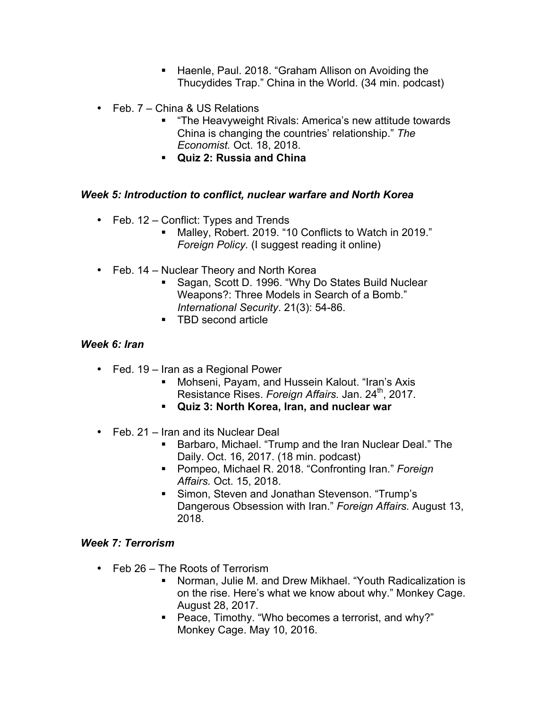- Haenle, Paul. 2018. "Graham Allison on Avoiding the Thucydides Trap." China in the World. (34 min. podcast)
- Feb. 7 China & US Relations
	- "The Heavyweight Rivals: America's new attitude towards China is changing the countries' relationship." *The Economist.* Oct. 18, 2018.
	- § **Quiz 2: Russia and China**

## *Week 5: Introduction to conflict, nuclear warfare and North Korea*

- Feb. 12 Conflict: Types and Trends
	- Malley, Robert. 2019. "10 Conflicts to Watch in 2019." *Foreign Policy.* (I suggest reading it online)
- Feb. 14 Nuclear Theory and North Korea
	- Sagan, Scott D. 1996. "Why Do States Build Nuclear Weapons?: Three Models in Search of a Bomb." *International Security*. 21(3): 54-86.
	- TBD second article

#### *Week 6: Iran*

- Fed. 19 Iran as a Regional Power
	- Mohseni, Payam, and Hussein Kalout. "Iran's Axis Resistance Rises. *Foreign Affairs.* Jan. 24th, 2017.
	- § **Quiz 3: North Korea, Iran, and nuclear war**
- Feb. 21 Iran and its Nuclear Deal
	- Barbaro, Michael. "Trump and the Iran Nuclear Deal." The Daily. Oct. 16, 2017. (18 min. podcast)
	- § Pompeo, Michael R. 2018. "Confronting Iran." *Foreign Affairs.* Oct. 15, 2018.
	- Simon, Steven and Jonathan Stevenson. "Trump's Dangerous Obsession with Iran." *Foreign Affairs.* August 13, 2018.

#### *Week 7: Terrorism*

- Feb 26 The Roots of Terrorism
	- Norman, Julie M. and Drew Mikhael. "Youth Radicalization is on the rise. Here's what we know about why." Monkey Cage. August 28, 2017.
	- Peace, Timothy. "Who becomes a terrorist, and why?" Monkey Cage. May 10, 2016.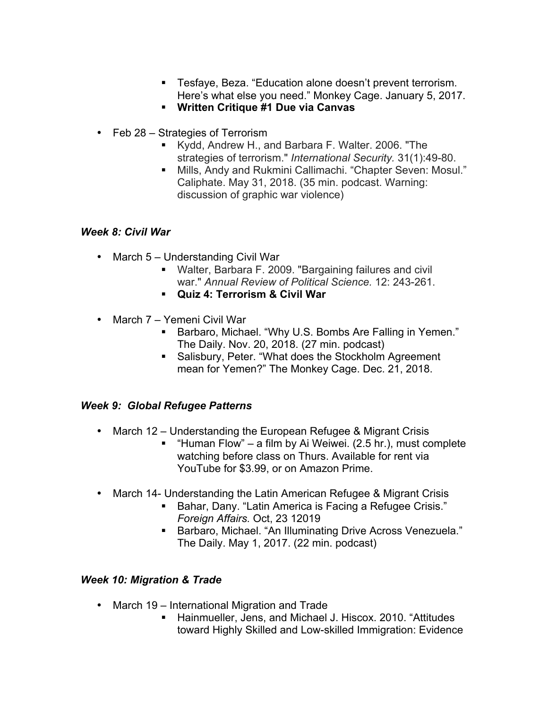- Tesfaye, Beza. "Education alone doesn't prevent terrorism. Here's what else you need." Monkey Cage. January 5, 2017.
- § **Written Critique #1 Due via Canvas**
- Feb 28 Strategies of Terrorism
	- § Kydd, Andrew H., and Barbara F. Walter. 2006. "The strategies of terrorism." *International Security.* 31(1):49-80.
	- Mills, Andy and Rukmini Callimachi. "Chapter Seven: Mosul." Caliphate. May 31, 2018. (35 min. podcast. Warning: discussion of graphic war violence)

#### *Week 8: Civil War*

- March 5 Understanding Civil War
	- Walter, Barbara F. 2009. "Bargaining failures and civil war." *Annual Review of Political Science.* 12: 243-261.
	- § **Quiz 4: Terrorism & Civil War**
- March 7 Yemeni Civil War
	- Barbaro, Michael. "Why U.S. Bombs Are Falling in Yemen." The Daily. Nov. 20, 2018. (27 min. podcast)
	- Salisbury, Peter. "What does the Stockholm Agreement mean for Yemen?" The Monkey Cage. Dec. 21, 2018.

## *Week 9: Global Refugee Patterns*

- March 12 Understanding the European Refugee & Migrant Crisis
	- "Human Flow" a film by Ai Weiwei. (2.5 hr.), must complete watching before class on Thurs. Available for rent via YouTube for \$3.99, or on Amazon Prime.
- March 14- Understanding the Latin American Refugee & Migrant Crisis
	- Bahar, Dany. "Latin America is Facing a Refugee Crisis." *Foreign Affairs.* Oct, 23 12019
	- Barbaro, Michael. "An Illuminating Drive Across Venezuela." The Daily. May 1, 2017. (22 min. podcast)

## *Week 10: Migration & Trade*

- March 19 International Migration and Trade
	- Hainmueller, Jens, and Michael J. Hiscox, 2010. "Attitudes toward Highly Skilled and Low-skilled Immigration: Evidence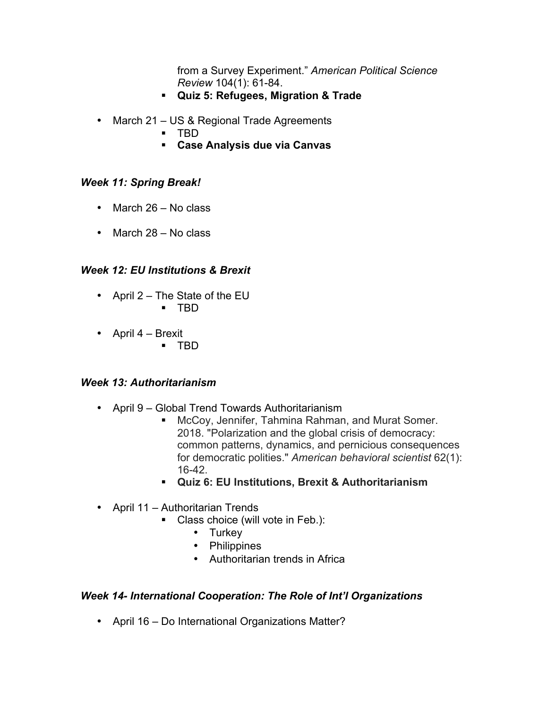from a Survey Experiment." *American Political Science Review* 104(1): 61-84.

- § **Quiz 5: Refugees, Migration & Trade**
- March 21 US & Regional Trade Agreements
	- § TBD
	- § **Case Analysis due via Canvas**

#### *Week 11: Spring Break!*

- March 26 No class
- March 28 No class

## *Week 12: EU Institutions & Brexit*

- April 2 The State of the EU § TBD
	-
- April 4 Brexit
	- § TBD

#### *Week 13: Authoritarianism*

- April 9 Global Trend Towards Authoritarianism
	- McCoy, Jennifer, Tahmina Rahman, and Murat Somer. 2018. "Polarization and the global crisis of democracy: common patterns, dynamics, and pernicious consequences for democratic polities." *American behavioral scientist* 62(1): 16-42.
	- § **Quiz 6: EU Institutions, Brexit & Authoritarianism**
- April 11 Authoritarian Trends
	- Class choice (will vote in Feb.):
		- Turkey
		- Philippines
		- Authoritarian trends in Africa

#### *Week 14- International Cooperation: The Role of Int'l Organizations*

• April 16 – Do International Organizations Matter?